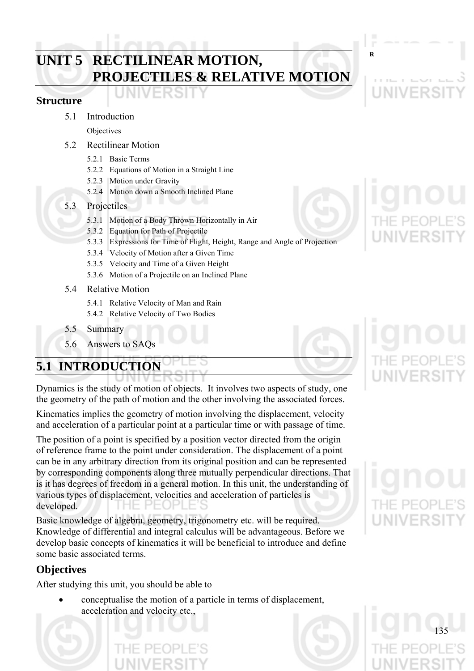# **RECTILINEAR MOTION, RECTILINEAR MOTION, PROJECTILES & RELATIVE MOTION**

## **Structure**

## 5.1 Introduction

**Objectives** 

- 5.2 Rectilinear Motion
	- 5.2.1 Basic Terms
	- 5.2.2 Equations of Motion in a Straight Line
	- 5.2.3 Motion under Gravity
	- 5.2.4 Motion down a Smooth Inclined Plane

#### 5.3 Projectiles

- 5.3.1 Motion of a Body Thrown Horizontally in Air
- 5.3.2 Equation for Path of Projectile
- 5.3.3 Expressions for Time of Flight, Height, Range and Angle of Projection
- 5.3.4 Velocity of Motion after a Given Time
- 5.3.5 Velocity and Time of a Given Height
- 5.3.6 Motion of a Projectile on an Inclined Plane
- 5.4 Relative Motion
	- 5.4.1 Relative Velocity of Man and Rain
	- 5.4.2 Relative Velocity of Two Bodies
- 5.5 Summary
- 5.6 Answers to SAQs

# **5.1 INTRODUCTION**

Dynamics is the study of motion of objects. It involves two aspects of study, one the geometry of the path of motion and the other involving the associated forces.

Kinematics implies the geometry of motion involving the displacement, velocity and acceleration of a particular point at a particular time or with passage of time.

The position of a point is specified by a position vector directed from the origin of reference frame to the point under consideration. The displacement of a point can be in any arbitrary direction from its original position and can be represented by corresponding components along three mutually perpendicular directions. That is it has degrees of freedom in a general motion. In this unit, the understanding of various types of displacement, velocities and acceleration of particles is developed. PEOF

Basic knowledge of algebra, geometry, trigonometry etc. will be required. Knowledge of differential and integral calculus will be advantageous. Before we develop basic concepts of kinematics it will be beneficial to introduce and define some basic associated terms.

# **Objectives**

After studying this unit, you should be able to

• conceptualise the motion of a particle in terms of displacement, acceleration and velocity etc.,

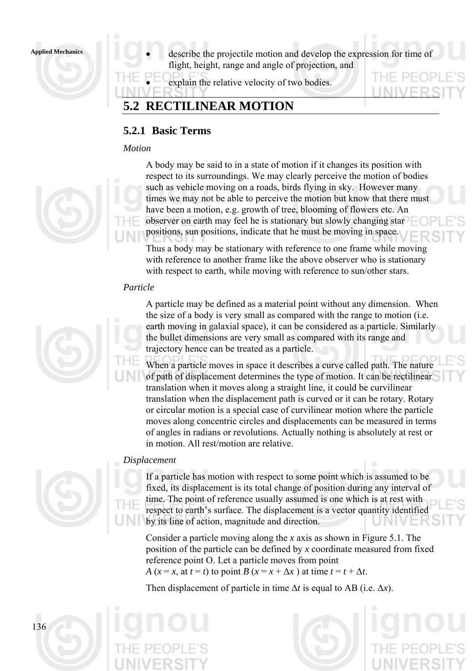

**Applied Mechanics** • describe the projectile motion and develop the expression for time of flight, height, range and angle of projection, and

explain the relative velocity of two bodies.

# **5.2 RECTILINEAR MOTION**

# **5.2.1 Basic Terms**

## *Motion*



A body may be said to in a state of motion if it changes its position with respect to its surroundings. We may clearly perceive the motion of bodies such as vehicle moving on a roads, birds flying in sky. However many times we may not be able to perceive the motion but know that there must have been a motion, e.g. growth of tree, blooming of flowers etc. An observer on earth may feel he is stationary but slowly changing star positions, sun positions, indicate that he must be moving in space.

Thus a body may be stationary with reference to one frame while moving with reference to another frame like the above observer who is stationary with respect to earth, while moving with reference to sun/other stars.

## *Particle*



A particle may be defined as a material point without any dimension. When the size of a body is very small as compared with the range to motion (i.e. earth moving in galaxial space), it can be considered as a particle. Similarly the bullet dimensions are very small as compared with its range and trajectory hence can be treated as a particle.

When a particle moves in space it describes a curve called path. The nature of path of displacement determines the type of motion. It can be rectilinear translation when it moves along a straight line, it could be curvilinear translation when the displacement path is curved or it can be rotary. Rotary or circular motion is a special case of curvilinear motion where the particle moves along concentric circles and displacements can be measured in terms of angles in radians or revolutions. Actually nothing is absolutely at rest or in motion. All rest/motion are relative.

## *Displacement*



If a particle has motion with respect to some point which is assumed to be fixed, its displacement is its total change of position during any interval of time. The point of reference usually assumed is one which is at rest with respect to earth's surface. The displacement is a vector quantity identified by its line of action, magnitude and direction.

Consider a particle moving along the *x* axis as shown in Figure 5.1. The position of the particle can be defined by *x* coordinate measured from fixed reference point O. Let a particle moves from point *A* ( $x = x$ , at  $t = t$ ) to point *B* ( $x = x + \Delta x$ ) at time  $t = t + \Delta t$ .

Then displacement of particle in time Δ*t* is equal to AB (i.e. Δ*x*).

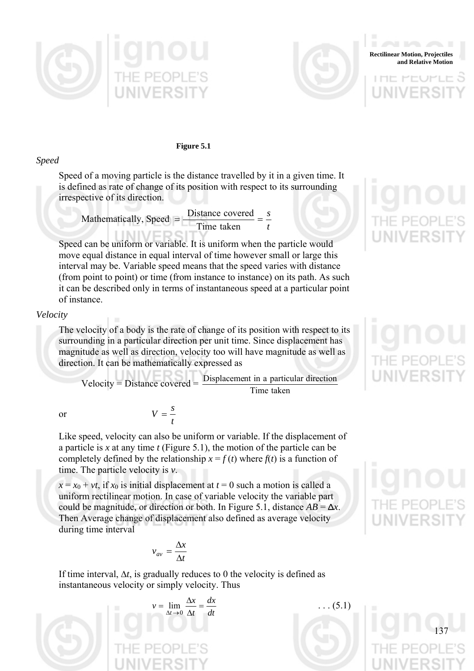



**Rectilinear Motion, Projectiles and Relative Motion**

アート

**Figure 5.1** 

#### *Speed*

Speed of a moving particle is the distance travelled by it in a given time. It is defined as rate of change of its position with respect to its surrounding irrespective of its direction.

Mathematically, Speed 
$$
= \frac{\text{Distance covered}}{\text{Time taken}} = \frac{s}{t}
$$

## Speed can be uniform or variable. It is uniform when the particle would move equal distance in equal interval of time however small or large this interval may be. Variable speed means that the speed varies with distance (from point to point) or time (from instance to instance) on its path. As such it can be described only in terms of instantaneous speed at a particular point of instance.

#### *Velocity*

The velocity of a body is the rate of change of its position with respect to its surrounding in a particular direction per unit time. Since displacement has magnitude as well as direction, velocity too will have magnitude as well as direction. It can be mathematically expressed as

Velocity = Distance covered  $= \frac{\text{Displacement in a particle}}{\text{Time taken}}$ Displacement in a particular direction

or

Like speed, velocity can also be uniform or variable. If the displacement of a particle is *x* at any time *t* (Figure 5.1), the motion of the particle can be completely defined by the relationship  $x = f(t)$  where  $f(t)$  is a function of time. The particle velocity is *v*.

 $x = x_0 + vt$ , if  $x_0$  is initial displacement at  $t = 0$  such a motion is called a uniform rectilinear motion. In case of variable velocity the variable part could be magnitude, or direction or both. In Figure 5.1, distance  $AB = \Delta x$ . Then Average change of displacement also defined as average velocity during time interval

$$
v_{av} = \frac{\Delta x}{\Delta t}
$$

*t*  $V = \frac{s}{x}$ 

If time interval,  $\Delta t$ , is gradually reduces to 0 the velocity is defined as instantaneous velocity or simply velocity. Thus







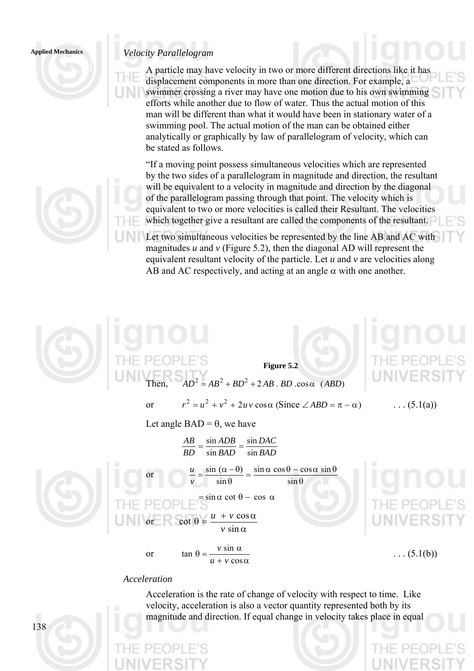## *Velocity Parallelogram* **Applied Mechanics**

A particle may have velocity in two or more different directions like it has displacement components in more than one direction. For example, a swimmer crossing a river may have one motion due to his own swimming efforts while another due to flow of water. Thus the actual motion of this man will be different than what it would have been in stationary water of a swimming pool. The actual motion of the man can be obtained either analytically or graphically by law of parallelogram of velocity, which can be stated as follows.

"If a moving point possess simultaneous velocities which are represented by the two sides of a parallelogram in magnitude and direction, the resultant will be equivalent to a velocity in magnitude and direction by the diagonal of the parallelogram passing through that point. The velocity which is equivalent to two or more velocities is called their Resultant. The velocities which together give a resultant are called the components of the resultant.

Let two simultaneous velocities be represented by the line AB and AC with magnitudes  $u$  and  $v$  (Figure 5.2), then the diagonal AD will represent the equivalent resultant velocity of the particle. Let *u* and *v* are velocities along AB and AC respectively, and acting at an angle  $\alpha$  with one another.



**Figure 5.2**   $D^2 = AB^2 + BD^2 + 2AB$ , *BD*,  $\cos \alpha$  *(ABD)* 

or  $r^2 = u^2 + v^2 + 2uv \cos \alpha$  (Since  $\angle ABD = \pi - \alpha$ ) . . . (5.1(a))

Let angle  $BAD = \theta$ , we have

*BAD DAC BAD ADB BD AB* sin sin sin  $=\frac{\sin ADB}{\sin A}$ or  $=$  $\frac{\sin (\alpha - \theta)}{\sin \theta} = \frac{\sin \alpha \cos \theta - \cos \alpha \sin \theta}{\sin \theta}$ sin  $\sin(\alpha-\theta)$ *v u*  $= \sin \alpha \cot \theta - \cos \alpha$ or α  $\theta = \frac{u + v \cos \alpha}{u}$ sin  $\cot \theta = \frac{u + v \cos \theta}{u + v \cos \theta}$ *v*  $u + v$ 

cos

 $+ v \cos \alpha$  $\theta = \frac{v \sin \alpha}{u}$  $\tan \theta = \frac{v \sin \theta}{v}$  $u + v$ 

 $v \sin \alpha$  . . . (5.1(b))

#### *Acceleration*

or

Acceleration is the rate of change of velocity with respect to time. Like velocity, acceleration is also a vector quantity represented both by its magnitude and direction. If equal change in velocity takes place in equal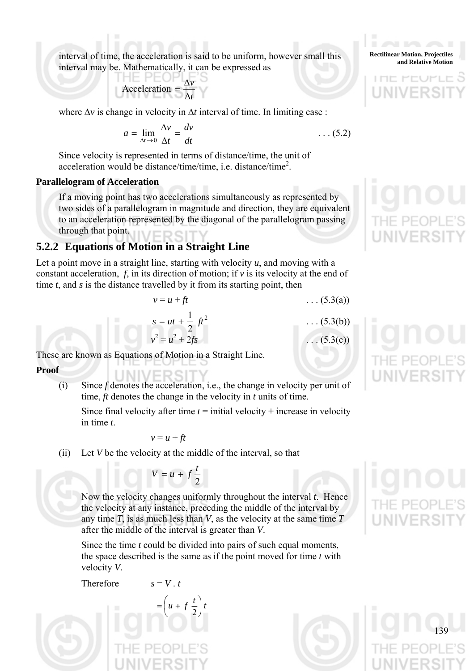interval of time, the acceleration is said to be uniform, however small this interval may be. Mathematically, it can be expressed as

$$
Acceleration = \frac{\Delta v}{\Delta t}
$$

where  $\Delta v$  is change in velocity in  $\Delta t$  interval of time. In limiting case :

$$
a = \lim_{\Delta t \to 0} \frac{\Delta v}{\Delta t} = \frac{dv}{dt}
$$
 (5.2)

Since velocity is represented in terms of distance/time, the unit of acceleration would be distance/time/time, i.e. distance/time<sup>2</sup>.

#### **Parallelogram of Acceleration**

If a moving point has two accelerations simultaneously as represented by two sides of a parallelogram in magnitude and direction, they are equivalent to an acceleration represented by the diagonal of the parallelogram passing through that point.

## **5.2.2 Equations of Motion in a Straight Line**

Let a point move in a straight line, starting with velocity  $u$ , and moving with a constant acceleration,  $f$ , in its direction of motion; if  $\nu$  is its velocity at the end of time *t*, and *s* is the distance travelled by it from its starting point, then

$$
v = u + ft \tag{5.3(a)}
$$

. . . (5.3(b))

 $(5.3(c))$ 

$$
s = ut + \frac{1}{2} ft^2
$$

$$
v^2 = u^2 + 2fs
$$

These are known as Equations of Motion in a Straight Line.

- **Proof** 
	- (i) Since *f* denotes the acceleration, i.e., the change in velocity per unit of time, *ft* denotes the change in the velocity in *t* units of time.

Since final velocity after time  $t =$  initial velocity + increase in velocity in time *t*.

$$
v = u + ft
$$

(ii) Let *V* be the velocity at the middle of the interval, so that

$$
V = u + f \frac{t}{2}
$$

Now the velocity changes uniformly throughout the interval *t*. Hence the velocity at any instance, preceding the middle of the interval by any time *T*, is as much less than *V*, as the velocity at the same time *T* after the middle of the interval is greater than *V*.

Since the time *t* could be divided into pairs of such equal moments, the space described is the same as if the point moved for time *t* with velocity *V*.

Therefore 
$$
s = V \cdot t
$$

For 
$$
s = V \cdot t
$$

\n
$$
= \left( u + f \frac{t}{2} \right) t
$$
\n
$$
= \left( 0 + f \frac{t}{2} \right) t
$$
\nThus,  $t = 0$  and  $t = 0$ .

**Rectilinear Motion, Projectiles and Relative Motion**

アート



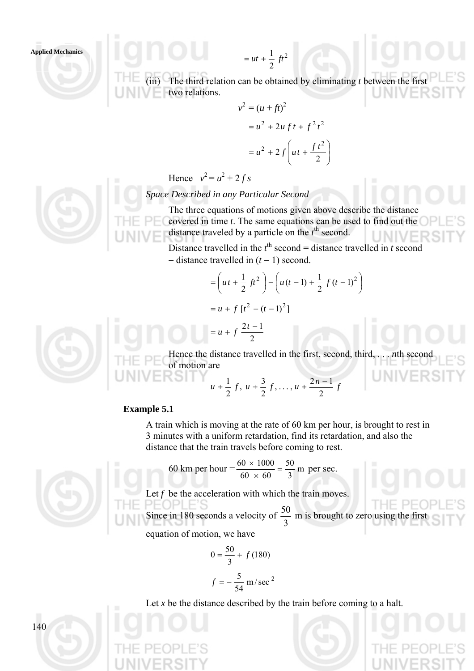(iii) The third relation can be obtained by eliminating *t* between the first two relations.

$$
v2 = (u + ft)2
$$
  
= u<sup>2</sup> + 2u ft + f<sup>2</sup> t<sup>2</sup>  
= u<sup>2</sup> + 2f (ut +  $\frac{ft2}{2}$ )

2  $= ut + \frac{1}{2} \text{ } ft$ 

Hence  $v^2 = u^2 + 2fs$ 

*Space Described in any Particular Second* 

 $= ut + \frac{1}{2} ft^2$ 

The three equations of motions given above describe the distance covered in time *t*. The same equations can be used to find out the distance traveled by a particle on the  $t^{\text{th}}$  second.

Distance travelled in the  $t^{\text{th}}$  second = distance travelled in *t* second − distance travelled in (*t* − 1) second.

> ⎟ ⎠

$$
= \left( ut + \frac{1}{2} ft^2 \right) - \left( u(t-1) + \frac{1}{2} ft (t-1)^2 \right)
$$
  
=  $u + f [t^2 - (t-1)^2]$ 



Hence the distance travelled in the first, second, third, . . . *n*th second of motion are

$$
u+\frac{1}{2}f, u+\frac{3}{2}f, \ldots, u+\frac{2n-1}{2}f
$$

#### **Example 5.1**

A train which is moving at the rate of 60 km per hour, is brought to rest in 3 minutes with a uniform retardation, find its retardation, and also the distance that the train travels before coming to rest.

60 km per hour =  $\frac{60 \times 1000}{60}$  =  $\frac{50}{2}$  m 3 50  $\frac{60 \times 1000}{60 \times 60} = \frac{50}{3}$  m per sec.

2

 $= u + f \frac{2t-1}{2}$ 

Let  $f$  be the acceleration with which the train moves.

Since in 180 seconds a velocity of  $\frac{50}{3}$  m is brought to zero using the first equation of motion, we have

$$
0 = \frac{50}{3} + f(180)
$$

$$
f = -\frac{5}{54} \text{ m/sec}^2
$$

Let  $x$  be the distance described by the train before coming to a halt.

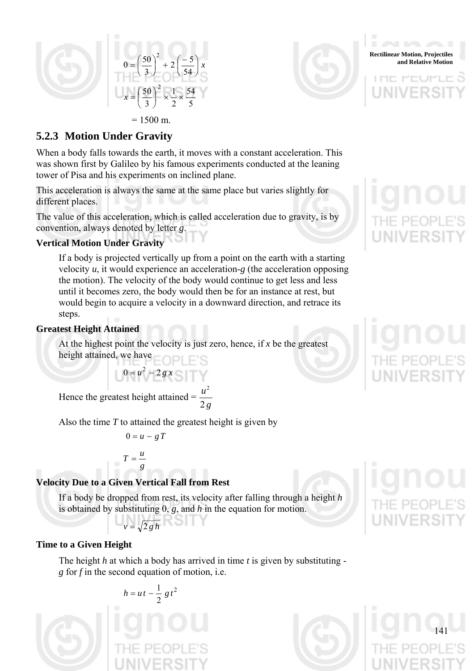



**Rectilinear Motion, Projectiles** 

アート

# **5.2.3 Motion Under Gravity**

When a body falls towards the earth, it moves with a constant acceleration. This was shown first by Galileo by his famous experiments conducted at the leaning tower of Pisa and his experiments on inclined plane.

This acceleration is always the same at the same place but varies slightly for different places.

The value of this acceleration, which is called acceleration due to gravity, is by convention, always denoted by letter *g*.

## **Vertical Motion Under Gravity**

If a body is projected vertically up from a point on the earth with a starting velocity *u*, it would experience an acceleration-*g* (the acceleration opposing the motion). The velocity of the body would continue to get less and less until it becomes zero, the body would then be for an instance at rest, but would begin to acquire a velocity in a downward direction, and retrace its steps.

## **Greatest Height Attained**

At the highest point the velocity is just zero, hence, if *x* be the greatest height attained, we have

Hence the greatest height attained = 
$$
\frac{u^2}{2g}
$$

Also the time *T* to attained the greatest height is given by

$$
0=u-gT
$$

 $0 = u^2 - 2gx$  $= u^2 -$ 

$$
T=\frac{u}{g}
$$

## **Velocity Due to a Given Vertical Fall from Rest**

If a body be dropped from rest, its velocity after falling through a height *h* is obtained by substituting 0, *g*, and *h* in the equation for motion.

$$
v=\sqrt{2\,g\,h}
$$

## **Time to a Given Height**

The height *h* at which a body has arrived in time *t* is given by substituting *g* for *f* in the second equation of motion, i.e.

$$
h = ut - \frac{1}{2}gt^2
$$



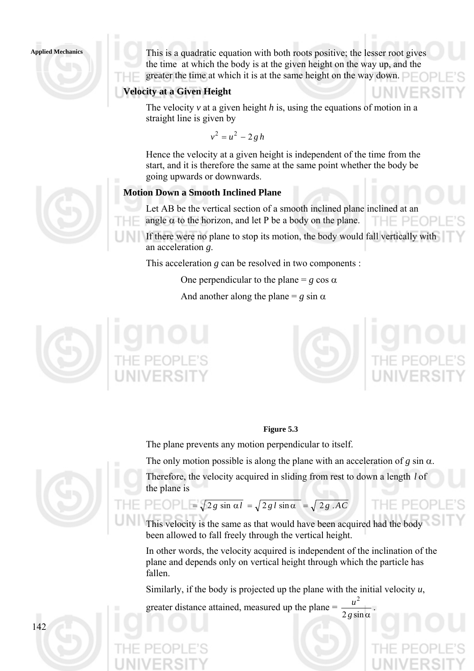This is a quadratic equation with both roots positive; the lesser root gives the time at which the body is at the given height on the way up, and the greater the time at which it is at the same height on the way down.

#### **Velocity at a Given Height**

The velocity *v* at a given height *h* is, using the equations of motion in a straight line is given by

 $v^2 = u^2 - 2gh$ 

Hence the velocity at a given height is independent of the time from the start, and it is therefore the same at the same point whether the body be going upwards or downwards.

#### **Motion Down a Smooth Inclined Plane**

Let AB be the vertical section of a smooth inclined plane inclined at an angle  $\alpha$  to the horizon, and let P be a body on the plane. THE PEOP

If there were no plane to stop its motion, the body would fall vertically with an acceleration *g*.

This acceleration *g* can be resolved in two components :

One perpendicular to the plane =  $g \cos \alpha$ 

And another along the plane =  $g \sin \alpha$ 





2

#### **Figure 5.3**

The plane prevents any motion perpendicular to itself.

The only motion possible is along the plane with an acceleration of  $g \sin \alpha$ .

Therefore, the velocity acquired in sliding from rest to down a length *l* of the plane is

# $P E O P = \sqrt{2 g \sin \alpha l} = \sqrt{2 g l \sin \alpha} = \sqrt{2 g . AC}$

This velocity is the same as that would have been acquired had the body been allowed to fall freely through the vertical height.

In other words, the velocity acquired is independent of the inclination of the plane and depends only on vertical height through which the particle has fallen.

Similarly, if the body is projected up the plane with the initial velocity *u*,

greater distance attained, measured up the plane  $=\frac{a}{2 g \sin \alpha}$ *g*  $\frac{u^2}{u}$ .

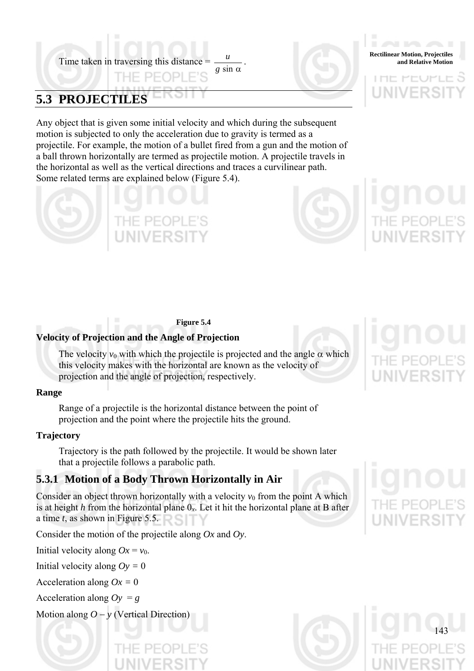Time taken in traversing this distance  $=$   $\frac{u}{a}$ . *g* sin α  $\frac{u}{u}$ .

# **5.3 PROJECTILES**

Any object that is given some initial velocity and which during the subsequent motion is subjected to only the acceleration due to gravity is termed as a projectile. For example, the motion of a bullet fired from a gun and the motion of a ball thrown horizontally are termed as projectile motion. A projectile travels in the horizontal as well as the vertical directions and traces a curvilinear path. Some related terms are explained below (Figure 5.4).





**Rectilinear Motion, Projectiles** 

アート

#### **Figure 5.4**

#### **Velocity of Projection and the Angle of Projection**

The velocity  $v_0$  with which the projectile is projected and the angle  $\alpha$  which this velocity makes with the horizontal are known as the velocity of projection and the angle of projection, respectively.

#### **Range**

Range of a projectile is the horizontal distance between the point of projection and the point where the projectile hits the ground.

#### **Trajectory**

Trajectory is the path followed by the projectile. It would be shown later that a projectile follows a parabolic path.

## **5.3.1 Motion of a Body Thrown Horizontally in Air**

Consider an object thrown horizontally with a velocity  $v_0$  from the point A which is at height *h* from the horizontal plane 0*x*. Let it hit the horizontal plane at B after a time *t*, as shown in Figure 5.5.

Consider the motion of the projectile along *Ox* and *Oy*.

Initial velocity along  $Ox = v_0$ .

Initial velocity along  $Oy = 0$ 

Acceleration along *Ox =* 0

Acceleration along  $Oy = g$ 

Motion along *O* − *y* (Vertical Direction)

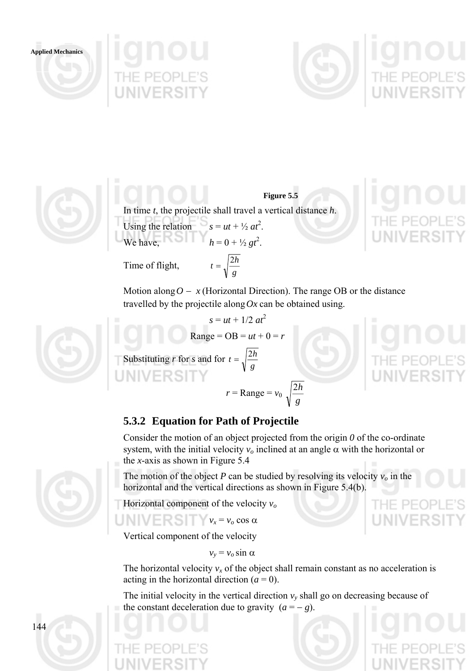





**Figure 5.5**  In time *t*, the projectile shall travel a vertical distance *h*. Using the relation  $s = ut + \frac{1}{2}at^2$ . We have,  $h = 0 + \frac{1}{2}gt^2$ .

> *g*  $t=\sqrt{\frac{2h}{h}}$

Time of flight,

Motion along  $O - x$  (Horizontal Direction). The range OB or the distance travelled by the projectile along  $Ox$  can be obtained using.

$$
s = ut + 1/2 \ at^2
$$
  
Range = OB = ut + 0 = r  
Substituting r for s and for  $t = \sqrt{\frac{2h}{g}}$   
 $r = \text{Range} = v_0$ 

THE PE(

# **5.3.2 Equation for Path of Projectile**

Consider the motion of an object projected from the origin *0* of the co-ordinate system, with the initial velocity  $v<sub>o</sub>$  inclined at an angle  $\alpha$  with the horizontal or the *x*-axis as shown in Figure 5.4

*g* 2*h*

The motion of the object *P* can be studied by resolving its velocity  $v<sub>o</sub>$  in the horizontal and the vertical directions as shown in Figure 5.4(b).

Horizontal component of the velocity *vo*

 $v_x = v_o \cos \alpha$ 

Vertical component of the velocity

 $v_y = v_o \sin \alpha$ 

The horizontal velocity  $v_x$  of the object shall remain constant as no acceleration is acting in the horizontal direction  $(a = 0)$ .

The initial velocity in the vertical direction  $v_y$  shall go on decreasing because of the constant deceleration due to gravity  $(a = -g)$ .

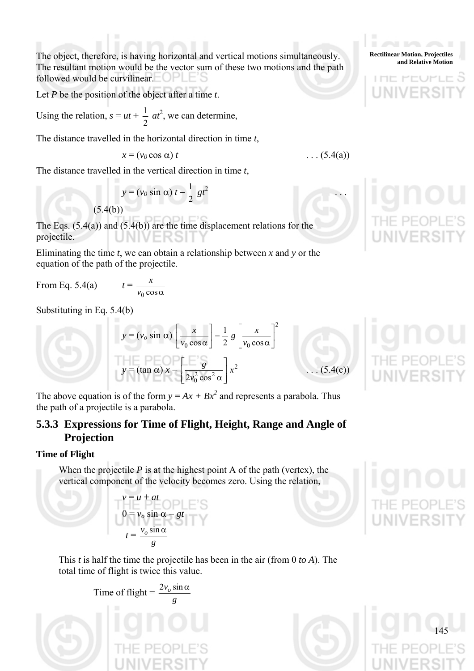The object, therefore, is having horizontal and vertical motions simultaneously. The resultant motion would be the vector sum of these two motions and the path followed would be curvilinear.

Let *P* be the position of the object after a time *t*.

Using the relation,  $s = ut +$ 2  $\frac{1}{2}$  *at*<sup>2</sup>, we can determine,

The distance travelled in the horizontal direction in time *t*,

$$
x = (v_0 \cos \alpha) t
$$

The distance travelled in the vertical direction in time *t*,

$$
y = (v_0 \sin \alpha) t - \frac{1}{2}gt^2
$$

The Eqs.  $(5.4(a))$  and  $(5.4(b))$  are the time displacement relations for the projectile.

Eliminating the time  $t$ , we can obtain a relationship between  $x$  and  $y$  or the equation of the path of the projectile.

From Eq.  $5.4(a)$ 

$$
t = \frac{1}{v_0 \cos \alpha}
$$

*x*

Substituting in Eq. 5.4(b)

$$
y = (v_o \sin \alpha) \left[ \frac{x}{v_0 \cos \alpha} \right] - \frac{1}{2} g \left[ \frac{x}{v_0 \cos \alpha} \right]^2
$$
  

$$
y = (\tan \alpha) x - \left[ \frac{g}{2v_0^2 \cos^2 \alpha} \right] x^2
$$

 $(5.4(c))$ 

 $\ldots$  (5.4(a))

The above equation is of the form  $y = Ax + Bx^2$  and represents a parabola. Thus the path of a projectile is a parabola.

# **5.3.3 Expressions for Time of Flight, Height, Range and Angle of Projection**

## **Time of Flight**

When the projectile  $P$  is at the highest point A of the path (vertex), the vertical component of the velocity becomes zero. Using the relation,

$$
v = u + at
$$
  
\n
$$
0 = v_o \sin \alpha - gt
$$
  
\n
$$
t = \frac{v_o \sin \alpha}{g}
$$

This *t* is half the time the projectile has been in the air (from 0 *to A*). The total time of flight is twice this value.

Time of flight = 
$$
\frac{2v_o \sin \alpha}{g}
$$
  
THE PEOPLE'S



アート



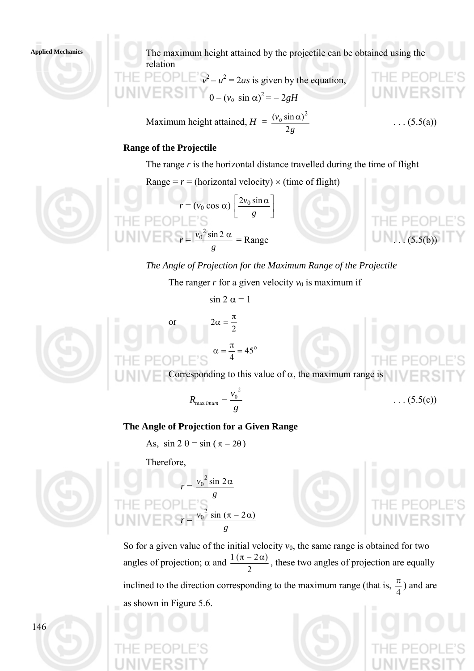The maximum height attained by the projectile can be obtained using the relation

$$
\begin{aligned}\n\text{H} &= \text{PEOPLE' } v^2 - u^2 = 2as \text{ is given by the equation,} \\
\text{INIV ERS} &= \text{O} - (v_o \sin \alpha)^2 = -2gH\n\end{aligned}
$$

Maximum height attained, *H = g vo* 2  $(v<sub>o</sub> sin \alpha)$ 

$$
\frac{\alpha)^2}{(5.5(a))}
$$

#### **Range of the Projectile**

The range *r* is the horizontal distance travelled during the time of flight

Range =  $r$  = (horizontal velocity)  $\times$  (time of flight)



 $r = (v_0 \cos \alpha) \left| \frac{2v_0 \sin \alpha}{g} \right|$ ⎦  $\left|\frac{2v_0\sin\alpha}{a}\right|$ ⎣  $|2v_0 \sin \alpha$ *g*  $2v_0$  sin  $r =$ *g*  $v_0^2$  sin 2  $\alpha$  $\frac{0}{\sin 2\alpha}$  = Range ... (5.5(b))

*The Angle of Projection for the Maximum Range of the Projectile* 

The ranger  $r$  for a given velocity  $v_0$  is maximum if

$$
\sin 2 \alpha = 1
$$

2  $2\alpha = \frac{\pi}{2}$ 



 $\alpha = \frac{\pi}{4} = 45^{\circ}$ Corresponding to this value of  $\alpha$ , the maximum range is

$$
R_{\max\,imum} = \frac{v_0^2}{g} \qquad \qquad \ldots (5.5(c))
$$

#### **The Angle of Projection for a Given Range**

*g*  $v_0^2$  sin  $2\alpha$ 0

*g*  $v_0^2 \sin (\pi - 2\alpha)$ 

As,  $\sin 2 \theta = \sin (\pi - 2\theta)$ 

*r* =

*r* =

Therefore,

or



So for a given value of the initial velocity  $v_0$ , the same range is obtained for two angles of projection;  $\alpha$  and 2  $\frac{1(\pi-2\alpha)}{2}$ , these two angles of projection are equally inclined to the direction corresponding to the maximum range (that is,  $\frac{\pi}{4}$ ) and are as shown in Figure 5.6.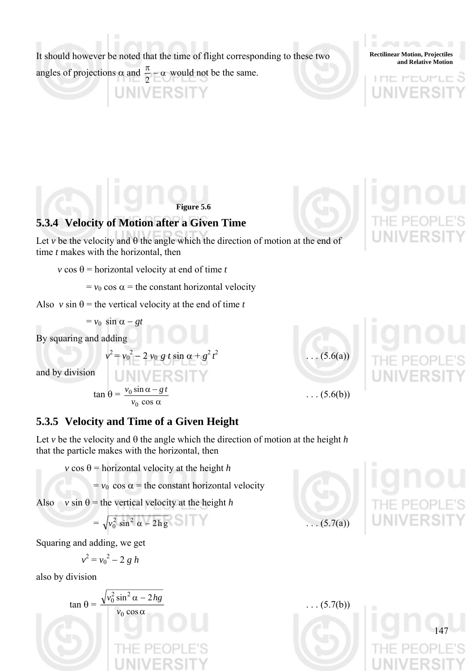It should however be noted that the time of flight corresponding to these two

angles of projections  $\alpha$  and  $\frac{\pi}{2} - \alpha$ 2 would not be the same.

**UNIVERSITY** 

**Rectilinear Motion, Projectiles and Relative Motion**

アート

**Figure 5.6** 

# **5.3.4 Velocity of Motion after a Given Time**

Let  $\nu$  be the velocity and  $\theta$  the angle which the direction of motion at the end of time *t* makes with the horizontal, then

*v* cos  $\theta$  = horizontal velocity at end of time *t* 

 $= v_0 \cos \alpha$  = the constant horizontal velocity

Also  $v \sin \theta$  = the vertical velocity at the end of time *t* 

 $v^2 = v_0^2 - 2 v_0 g t \sin \alpha + g^2 t$ 

 $= v_0 \sin \alpha - gt$ 

By squaring and adding

and by division

$$
\tan \theta = \frac{v_0 \sin \alpha - gt}{v_0 \cos \alpha}
$$

**5.3.5 Velocity and Time of a Given Height** 

 $(5.6(a))$  $\ldots$  (5.6(b))

Let *v* be the velocity and  $\theta$  the angle which the direction of motion at the height *h* that the particle makes with the horizontal, then

 $v \cos \theta$  = horizontal velocity at the height *h* 

 $= v_0 \cos \alpha =$  the constant horizontal velocity

Also  $v \sin \theta =$  the vertical velocity at the height *h* 

 $=\sqrt{v_0^2 \sin^2 \alpha - 2h g}$  . . . (5.7(a))

Squaring and adding, we get

$$
v^2 = v_0^2 - 2 g h
$$

also by division





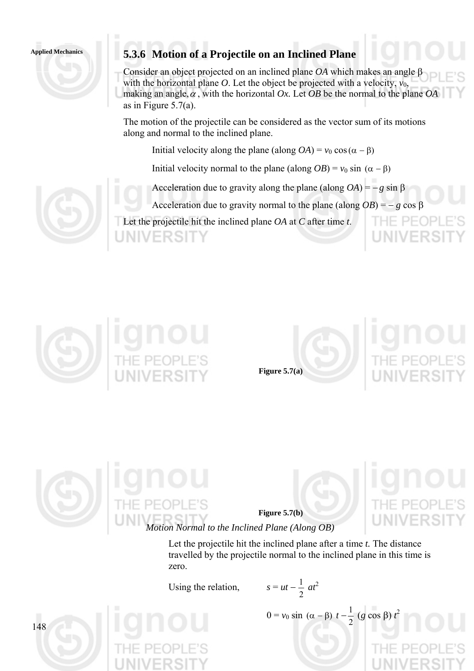# Applied Mechanics **5.3.6 Motion of a Projectile on an Inclined Plane**

Consider an object projected on an inclined plane *OA* which makes an angle β with the horizontal plane *O*. Let the object be projected with a velocity,  $v_0$ , making an angle,  $\alpha$ , with the horizontal *Ox*. Let *OB* be the normal to the plane *OA* as in Figure 5.7(a).

The motion of the projectile can be considered as the vector sum of its motions along and normal to the inclined plane.

Initial velocity along the plane (along  $OA$ ) =  $v_0 \cos(\alpha - \beta)$ 

Initial velocity normal to the plane (along *OB*) =  $v_0 \sin(\alpha - \beta)$ 

Acceleration due to gravity along the plane (along  $OA$ ) =  $-g \sin B$ 

Acceleration due to gravity normal to the plane (along  $OB$ ) = – *g* cos  $\beta$ 

Let the projectile hit the inclined plane *OA* at *C* after time *t*.







2





**Figure 5.7(b)** 

*Motion Normal to the Inclined Plane (Along OB)* 

Let the projectile hit the inclined plane after a time *t.* The distance travelled by the projectile normal to the inclined plane in this time is zero.

Using the relation,

$$
s = ut - \frac{1}{2} at^2
$$

 $0 = v_0 \sin(\alpha - \beta) t - \frac{1}{2} (g \cos \beta) t$ 

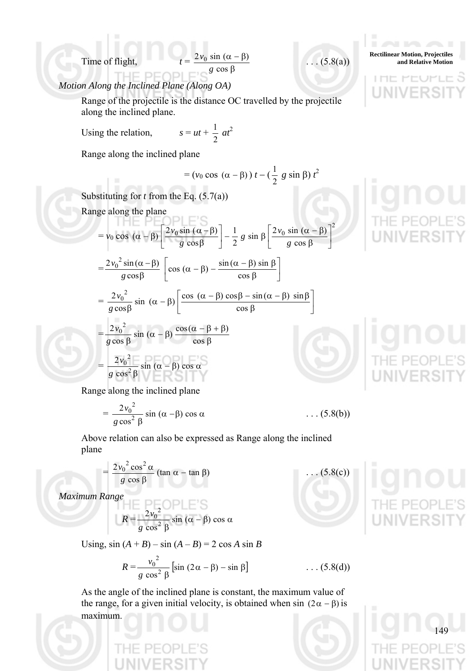β cos *g*  $\frac{2v_0 \sin(\alpha - \beta)}{2}$  . . . (5.8(a))

2

⎦

## *Motion Along the Inclined Plane (Along OA)*

Range of the projectile is the distance OC travelled by the projectile along the inclined plane.

Using the relation,

$$
s = ut + \frac{1}{2} at^2
$$

Range along the inclined plane

$$
= (\nu_0 \cos (\alpha - \beta)) t - (\frac{1}{2} g \sin \beta) t^2
$$

Substituting for *t* from the Eq. (5.7(a)) Range along the plane

$$
I = \frac{1}{2}
$$

$$
= v_0 \cos (\alpha - \beta) \left[ \frac{2v_0 \sin (\alpha - \beta)}{g \cos \beta} \right] - \frac{1}{2} g \sin \beta \left[ \frac{2v_0 \sin (\alpha - \beta)}{g \cos \beta} \right]
$$

$$
= \frac{2v_0^2 \sin (\alpha - \beta)}{g \cos \beta} \left[ \cos (\alpha - \beta) - \frac{\sin (\alpha - \beta) \sin \beta}{\cos \beta} \right]
$$

$$
g \cos \beta \qquad \Box \qquad \cos \beta \qquad \Box
$$
  
=  $\frac{2v_0^2}{g \cos \beta} \sin (\alpha - \beta) \left[ \frac{\cos (\alpha - \beta) \cos \beta - \sin (\alpha - \beta) \sin \beta}{\cos \beta} \right]$   
=  $\frac{2v_0^2}{g \cos \beta} \sin (\alpha - \beta) \frac{\cos (\alpha - \beta + \beta)}{\cos \beta}$ 

$$
= \frac{2v_0^2}{g \cos^2 \beta} \sin (\alpha - \beta) \cos \alpha
$$

Range along the inclined plane

$$
= \frac{2v_0^2}{g\cos^2\beta}\sin(\alpha-\beta)\cos\alpha \qquad \qquad \dots (5.8(b))
$$

Above relation can also be expressed as Range along the inclined plane

$$
= \frac{2v_0^2 \cos^2 \alpha}{g \cos \beta} (\tan \alpha - \tan \beta) \qquad \qquad \dots (5.8(c))
$$

*Maximum Range* 

$$
R = \frac{2v_0^2}{g \cos^2 \beta} \sin (\alpha - \beta) \cos \alpha
$$

Using,  $\sin (A + B) - \sin (A - B) = 2 \cos A \sin B$ 

$$
R = \frac{v_0^2}{g \cos^2 \beta} \left[ \sin (2\alpha - \beta) - \sin \beta \right] \tag{5.8(d)}
$$

As the angle of the inclined plane is constant, the maximum value of the range, for a given initial velocity, is obtained when sin  $(2\alpha - \beta)$  is maximum.



**Rectilinear Motion, Projectiles**  Time of flight,  $t = \frac{2v_0 \sin(\alpha - \beta)}{1}$  ... (5.8(a) and Relative Motion

アート

LITIE

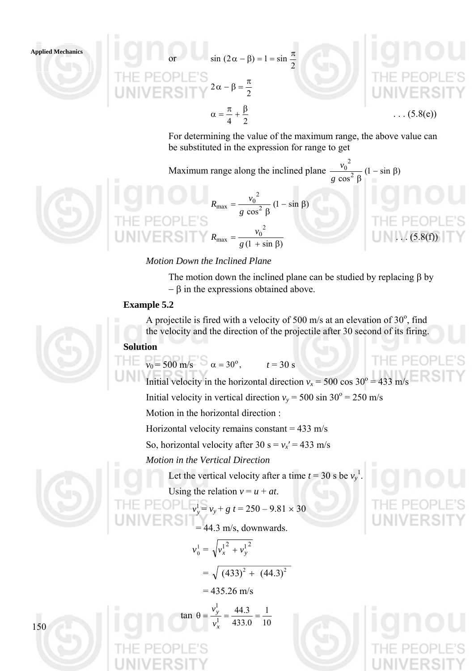or  $\sin(2\alpha - \beta) = 1 = \sin \frac{\pi}{2}$ 2  $2\alpha - \beta = \frac{\pi}{2}$  $\alpha = \frac{\pi}{4} + \frac{\beta}{2}$ 

 $\ldots$  (5.8(e))

For determining the value of the maximum range, the above value can be substituted in the expression for range to get

Maximum range along the inclined plane  $\frac{v_0}{2}(1-\sin\beta)$  $\cos^2$ 2  $\frac{0}{2}$  (1 – sin  $\beta$  $g \cos^2 \beta$ *v*

2



 $\frac{\log^2\beta}{\cos^2\beta}(1-\sin\beta)$  $R_{\text{max}} = \frac{v_0^2}{g \cos^2 \beta} (1 - \sin \beta)$  $R_{\text{max}} = \frac{v_0}{g(1 + \sin \beta)}$ 2  $R_{\text{max}} = \frac{v_0^2}{g(1 + \sin \beta)}$  (5.8(f))

## *Motion Down the Inclined Plane*

The motion down the inclined plane can be studied by replacing  $\beta$  by  $-\beta$  in the expressions obtained above.

#### **Example 5.2**

A projectile is fired with a velocity of 500 m/s at an elevation of  $30^{\circ}$ , find the velocity and the direction of the projectile after 30 second of its firing.

## **Solution**

 $v_0 = 500 \text{ m/s}$   $\alpha = 30^\circ$ ,  $t = 30 \text{ s}$ 

Initial velocity in the horizontal direction  $v_x = 500 \cos 30^\circ = 433 \text{ m/s}$ 

Initial velocity in vertical direction  $v_y = 500 \sin 30^\circ = 250 \text{ m/s}$ 

Motion in the horizontal direction :

Horizontal velocity remains constant =  $433 \text{ m/s}$ 

So, horizontal velocity after 30 s =  $v_x$ <sup>'</sup> = 433 m/s

*Motion in the Vertical Direction* 

 $\tan \theta =$ 

Let the vertical velocity after a time  $t = 30$  s be  $v_y^1$ .

10 1

Using the relation  $v = u + at$ .

$$
E OPL v_y^1 = v_y + g t = 250 - 9.81 \times 30
$$

$$
= 44.3 \text{ m/s, downwards.}
$$

$$
v_0^1 = \sqrt{v_x^1{}^2 + v_y^1{}^2}
$$
  
=  $\sqrt{(433)^2 + (44.3)^2}$   
= 435.26 m/s

0.433

 $\theta = \frac{v_y^1}{1} = \frac{44.3}{12.3}$ 1 1

*x y v v*

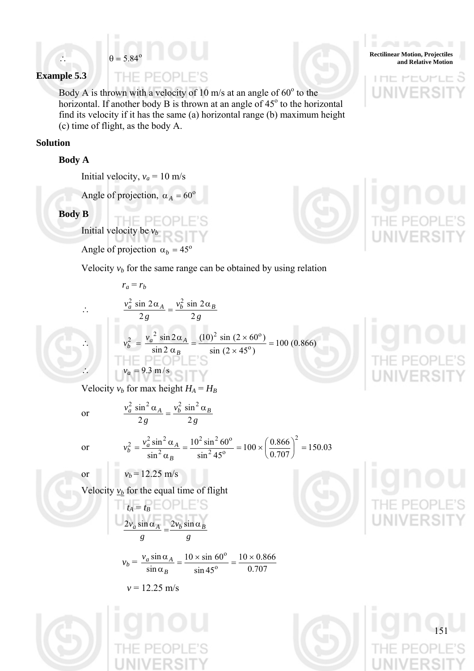

#### **Example 5.3**

THE PEOPLE'S Body A is thrown with a velocity of 10 m/s at an angle of  $60^{\circ}$  to the horizontal. If another body B is thrown at an angle of  $45^\circ$  to the horizontal find its velocity if it has the same (a) horizontal range (b) maximum height

(c) time of flight, as the body A.

#### **Solution**

#### **Body A**

Initial velocity,  $v_a = 10$  m/s

Angle of projection,  $\alpha_A = 60^\circ$ 

**Body B** 

Initial velocity be  $v_b$ 

Angle of projection  $\alpha_b = 45^\circ$ 

 $r_a = r_b$ 

∴  $\frac{v_a^2 \sin 2\alpha_A}{2g} = \frac{v_b^2 \sin 2\alpha_B}{2g}$ *g*

2

 $v_b^2 = \frac{v}{a}$ 

 $v_a^2$  sin 2 $\alpha_A$  *<sub>B</sub>*  $v_b^2$  sin 2 $\alpha_B$ 

 $\frac{2}{a}$  sin 2  $\alpha$ <sub>A</sub> =  $\frac{v_b^2 \sin 2\alpha}{2}$ 

*B*

*v*

sin

 $v_a^2 \sin^2 \alpha_A = v_b^2 \sin^2 \alpha_B$ 

 $\frac{a}{a} \sin^2 \alpha_A = \frac{v_b^2 \sin^2 \alpha}{2}$ 

 $\sin 2$  $\sin 2$ 

 $\frac{2}{b} = \frac{v_a}{\sin 2x}$ 

2 sin 2

∴  $v_b^2 = \frac{v_a^2 \sin 2\alpha_A}{\sin 2\alpha_B} = \frac{(10)^2 \sin (2 \times 60^\circ)}{\sin (2 \times 45^\circ)} = 100 (0.866)$ 

 $\frac{c_2}{b}$  =  $\frac{v_a^2 \sin 2\alpha_A}{\sin 2\alpha_B}$  =  $\frac{(10)^2 \sin (2 \times 60^\circ)}{\sin (2 \times 45^\circ)}$  =

Velocity  $v_b$  for the same range can be obtained by using relation

$$
i\mathsf{q} \mathsf{n} \mathsf{o} \mathsf{u}
$$

 $v_a = 9.3 \text{ m/s}$ Velocity  $v_b$  for max height  $H_A = H_B$ 

or  $v_b = 12.25 \text{ m/s}$ 

 $\frac{2v_a \sin \alpha_A}{g} = \frac{2v_b \sin g}$ *g*

Velocity  $v_b$  for the equal time of flight

sin sin

 $v = 12.25$  m/s

 $v_a$  sin  $\alpha_A$ 

 $t_A = t_B B E O P L E S$ 

 $\frac{2v_a \sin \alpha_A}{2} = \frac{2v_b \sin \alpha_B}{2}$ 

 $v_b = \frac{v_a \sin \alpha_A}{\sin \alpha_B} = \frac{10 \times \sin 60}{\sin 45^\circ} = \frac{10 \times 0.6}{0.707}$ 

*B*

 $\sin 45$  $10 \times \sin 60$ 

 $\frac{\Delta a}{\alpha_B} = \frac{10 \times \sin 60^\circ}{\sin 45^\circ} = \frac{10 \times \sin 60^\circ}{0.}$ 

or

$$
2 g \t 2 g
$$
  
or 
$$
v_b^2 = \frac{v_a^2 \sin^2 \alpha_A}{\sin^2 \alpha_B} = \frac{10^2 \sin^2 60^\circ}{\sin^2 45^\circ} = 100 \times \left(\frac{0.866}{0.707}\right)^2 = 150.03
$$

 $10 \times 0.866$ 







 $\Box$ 

アート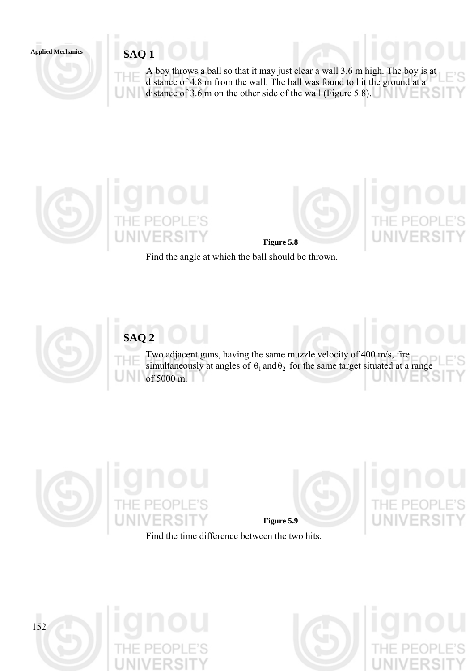# Applied Mechanics **SAQ 1**

A boy throws a ball so that it may just clear a wall 3.6 m high. The boy is at distance of 4.8 m from the wall. The ball was found to hit the ground at a distance of 3.6 m on the other side of the wall (Figure 5.8).



**Figure 5.8**

Find the angle at which the ball should be thrown.



# **SAQ 2**

Two adjacent guns, having the same muzzle velocity of 400 m/s, fire simultaneously at angles of  $\theta_1$  and  $\theta_2$  for the same target situated at a range of 5000 m.





Find the time difference between the two hits.



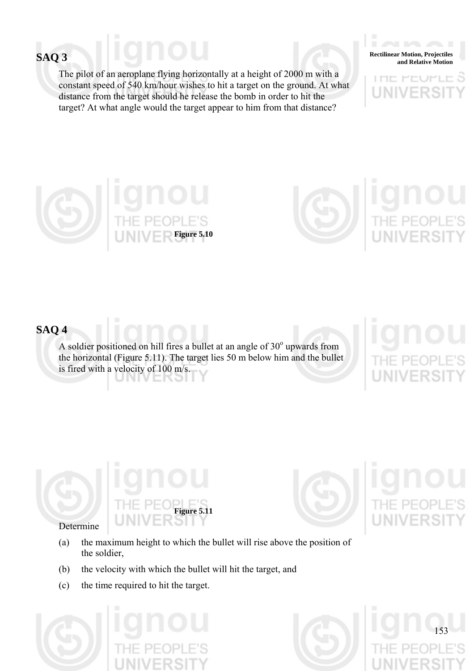The pilot of an aeroplane flying horizontally at a height of 2000 m with a constant speed of 540 km/hour wishes to hit a target on the ground. At what distance from the target should he release the bomb in order to hit the target? At what angle would the target appear to him from that distance?

**Rectilinear Motion, Projectiles**<br>and Relative Motion and Relative Motion

アヒヒ  $\Box$ 





# **SAQ 4**

A soldier positioned on hill fires a bullet at an angle of  $30^{\circ}$  upwards from the horizontal (Figure 5.11). The target lies 50 m below him and the bullet is fired with a velocity of 100 m/s.





153

## Determine

- (a) the maximum height to which the bullet will rise above the position of the soldier,
- (b) the velocity with which the bullet will hit the target, and
- (c) the time required to hit the target.



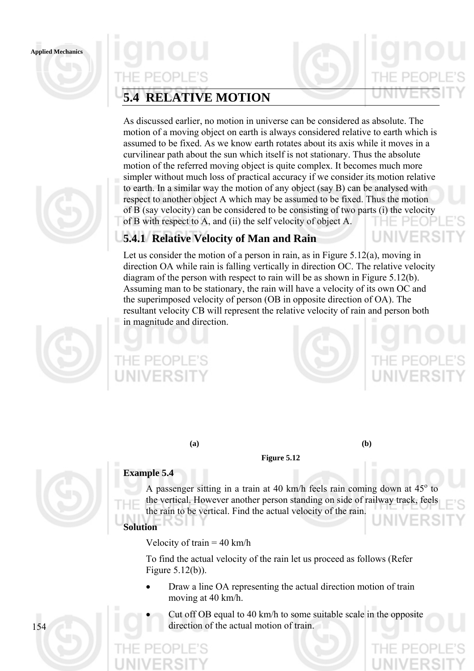

# PEOPL

# **5.4 RELATIVE MOTION**

As discussed earlier, no motion in universe can be considered as absolute. The motion of a moving object on earth is always considered relative to earth which is assumed to be fixed. As we know earth rotates about its axis while it moves in a curvilinear path about the sun which itself is not stationary. Thus the absolute motion of the referred moving object is quite complex. It becomes much more simpler without much loss of practical accuracy if we consider its motion relative to earth. In a similar way the motion of any object (say B) can be analysed with respect to another object A which may be assumed to be fixed. Thus the motion of B (say velocity) can be considered to be consisting of two parts (i) the velocity of B with respect to A, and (ii) the self velocity of object A.

# **5.4.1 Relative Velocity of Man and Rain**

Let us consider the motion of a person in rain, as in Figure 5.12(a), moving in direction OA while rain is falling vertically in direction OC. The relative velocity diagram of the person with respect to rain will be as shown in Figure 5.12(b). Assuming man to be stationary, the rain will have a velocity of its own OC and the superimposed velocity of person (OB in opposite direction of OA). The resultant velocity CB will represent the relative velocity of rain and person both in magnitude and direction.



**(a) (b)** 

# **Example 5.4**

A passenger sitting in a train at 40 km/h feels rain coming down at  $45^{\circ}$  to the vertical. However another person standing on side of railway track, feels the rain to be vertical. Find the actual velocity of the rain. **Solution** 

**Figure 5.12** 

Velocity of train  $= 40$  km/h

To find the actual velocity of the rain let us proceed as follows (Refer Figure 5.12(b)).

- Draw a line OA representing the actual direction motion of train moving at 40 km/h.
- Cut off OB equal to 40 km/h to some suitable scale in the opposite direction of the actual motion of train.

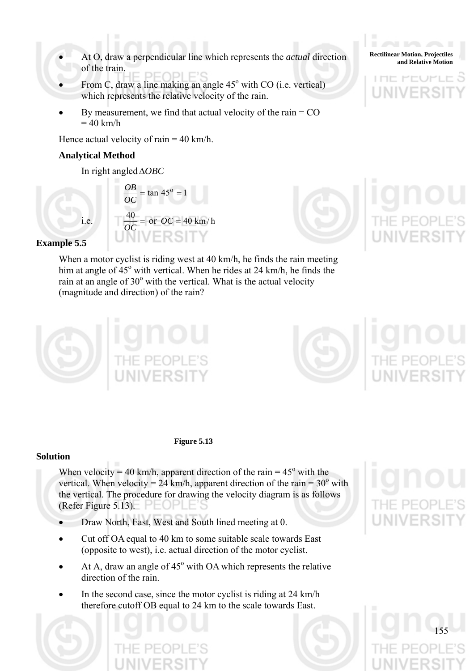- At O, draw a perpendicular line which represents the *actual* direction<br>and Relative Motion of the train.
- From C, draw a line making an angle  $45^{\circ}$  with CO (i.e. vertical) which represents the relative velocity of the rain.
- By measurement, we find that actual velocity of the rain  $=$  CO  $= 40$  km/h

Hence actual velocity of rain  $= 40$  km/h.

## **Analytical Method**

In right angledΔ*OBC*



## **Example 5.5**

When a motor cyclist is riding west at 40 km/h, he finds the rain meeting him at angle of  $45^{\circ}$  with vertical. When he rides at 24 km/h, he finds the rain at an angle of  $30^{\circ}$  with the vertical. What is the actual velocity (magnitude and direction) of the rain?



#### **Figure 5.13**

#### **Solution**

When velocity = 40 km/h, apparent direction of the rain =  $45^{\circ}$  with the vertical. When velocity =  $24 \text{ km/h}$ , apparent direction of the rain =  $30^{\circ}$  with the vertical. The procedure for drawing the velocity diagram is as follows (Refer Figure 5.13).  $\Box$ 

- Draw North, East, West and South lined meeting at 0.
- Cut off OA equal to 40 km to some suitable scale towards East (opposite to west), i.e. actual direction of the motor cyclist.
- $\bullet$  At A, draw an angle of 45 $\degree$  with OA which represents the relative direction of the rain.
- In the second case, since the motor cyclist is riding at 24 km/h therefore cutoff OB equal to 24 km to the scale towards East.



**Rectilinear Motion, Projectiles**  アート

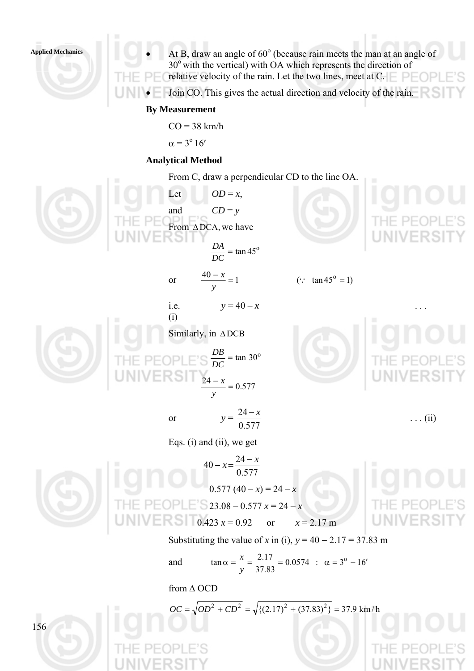• At B, draw an angle of  $60^\circ$  (because rain meets the man at an angle of  $30^{\circ}$  with the vertical) with OA which represents the direction of relative velocity of the rain. Let the two lines, meet at  $C = \Box$  $PIF($ 

• Join CO. This gives the actual direction and velocity of the rain.

#### **By Measurement**

 $CO = 38$  km/h

$$
\alpha = 3^{\circ} 16'
$$

#### **Analytical Method**

From C, draw a perpendicular CD to the line OA.

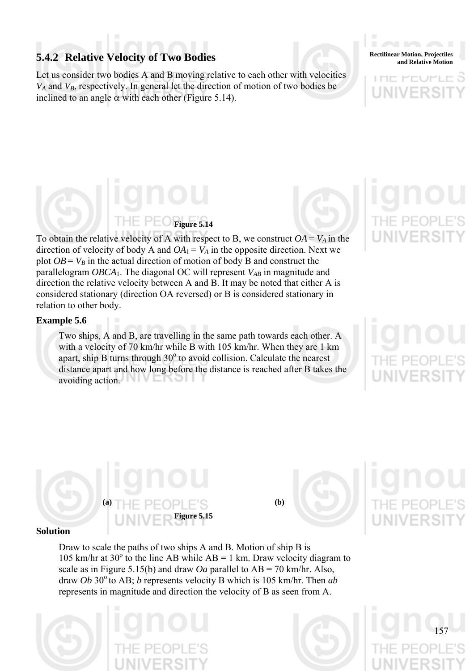# **5.4.2 Relative Velocity of Two Bodies and Relative Motion, Projectiles Rectilinear Motion**, Projectiles

Let us consider two bodies A and B moving relative to each other with velocities  $V_A$  and  $V_B$ , respectively. In general let the direction of motion of two bodies be inclined to an angle  $\alpha$  with each other (Figure 5.14).

**Rectilinear Motion, Projectiles** 

# **Figure 5.14**

To obtain the relative velocity of A with respect to B, we construct  $OA = V_A$  in the direction of velocity of body A and  $OA_1 = V_A$  in the opposite direction. Next we plot  $OB = V_B$  in the actual direction of motion of body B and construct the parallelogram *OBCA*<sub>1</sub>. The diagonal OC will represent *V<sub>AB</sub>* in magnitude and direction the relative velocity between A and B. It may be noted that either A is considered stationary (direction OA reversed) or B is considered stationary in relation to other body.

#### **Example 5.6**

Two ships, A and B, are travelling in the same path towards each other. A with a velocity of 70 km/hr while B with 105 km/hr. When they are 1 km apart, ship B turns through  $30^{\circ}$  to avoid collision. Calculate the nearest distance apart and how long before the distance is reached after B takes the avoiding action.

157

# $\mathbf{(a)}$   $\mathbf{T}$   $\mathbf{H}$   $\mathbf{E}$   $\mathbf{D}$   $\mathbf{E}$   $\mathbf{D}$   $\mathbf{E}$   $\mathbf{E}$   $\mathbf{C}$   $\mathbf{D}$   $\mathbf{E}$   $\mathbf{C}$   $\mathbf{D}$   $\mathbf{D}$   $\mathbf{E}$   $\mathbf{C}$   $\mathbf{D}$   $\mathbf{D}$   $\mathbf{E}$   $\mathbf{D}$   $\mathbf{E}$   $\mathbf{D}$   $\mathbf{E}$   $\mathbf{D$ **Figure 5.15**



#### **Solution**

Draw to scale the paths of two ships A and B. Motion of ship B is 105 km/hr at 30 $^{\circ}$  to the line AB while AB = 1 km. Draw velocity diagram to scale as in Figure 5.15(b) and draw *Oa* parallel to  $AB = 70$  km/hr. Also, draw *Ob* 30<sup>°</sup> to AB; *b* represents velocity B which is 105 km/hr. Then *ab* represents in magnitude and direction the velocity of B as seen from A.



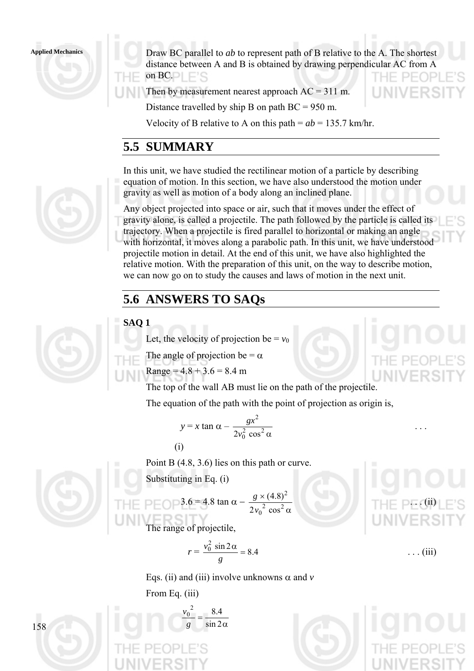Draw BC parallel to *ab* to represent path of B relative to the A. The shortest distance between A and B is obtained by drawing perpendicular AC from A on  $BC.$ 

Then by measurement nearest approach  $AC = 311$  m.

Distance travelled by ship B on path  $BC = 950$  m.

Velocity of B relative to A on this path  $= ab = 135.7$  km/hr.

# **5.5 SUMMARY**

In this unit, we have studied the rectilinear motion of a particle by describing equation of motion. In this section, we have also understood the motion under gravity as well as motion of a body along an inclined plane.

Any object projected into space or air, such that it moves under the effect of gravity alone, is called a projectile. The path followed by the particle is called its trajectory. When a projectile is fired parallel to horizontal or making an angle with horizontal, it moves along a parabolic path. In this unit, we have understood projectile motion in detail. At the end of this unit, we have also highlighted the relative motion. With the preparation of this unit, on the way to describe motion, we can now go on to study the causes and laws of motion in the next unit.

# **5.6 ANSWERS TO SAQs**

# **SAQ 1**

Let, the velocity of projection be  $= v_0$ 

The angle of projection be =  $\alpha$ 

Range = 
$$
4.8 + 3.6 = 8.4
$$
 m

The top of the wall AB must lie on the path of the projectile.

The equation of the path with the point of projection as origin is,

$$
y = x \tan \alpha - \frac{gx^2}{2v_0^2 \cos^2 \alpha} \qquad \dots
$$
  
(i)

Point B (4.8, 3.6) lies on this path or curve.

Substituting in Eq. (i)

P EOP 3.6 = 4.8 tan α - 
$$
\frac{g \times (4.8)^2}{2v_0^2 \cos^2 α}
$$

The range of projectile,

$$
r = \frac{v_0^2 \sin 2\alpha}{g} = 8.4 \tag{iii}
$$

Eqs. (ii) and (iii) involve unknowns  $\alpha$  and  $\nu$ 

From Eq. (iii)

$$
\frac{v_0^2}{g} = \frac{8.4}{\sin 2\alpha}
$$











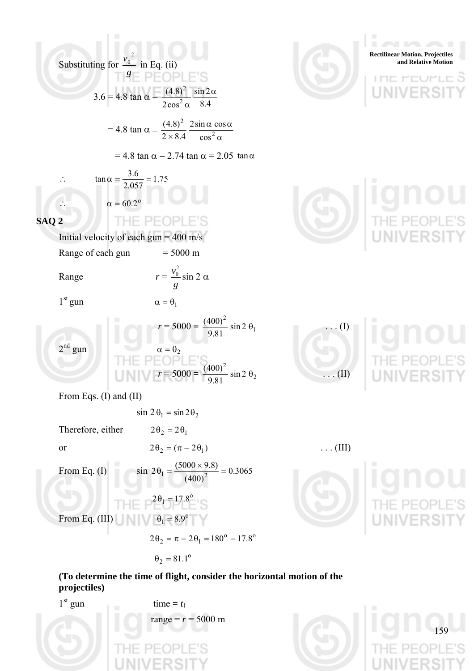Substituting for 
$$
\frac{y_0^2}{a}
$$
 in Eq. (ii)  
\n $18E$  P E O P E'S  
\n3.6 = 4.8 tan  $\alpha = \frac{4.83^2}{2.84} \frac{\sin 2\alpha}{\alpha \cdot 8.4}$   
\n= 4.8 tan  $\alpha = \frac{4.83^2}{2.84} \frac{2 \sin \alpha \cos \alpha}{\alpha \cdot 8.4}$   
\n= 4.8 tan  $\alpha = 2.74$  tan  $\alpha = 2.05$  tan  $\alpha$   
\n $\therefore$  tan  $\alpha = \frac{3.6}{2.057} = 1.75$   
\n $\therefore$   $\alpha = 60.2^\circ$   
\n**SAQ2**  
\nThat velocity of each  $\sin \alpha = 5000$  m/s  
\nRange  
\n $r = \frac{v_0^2}{g}$  sin 2  $\alpha$   
\n $r^2 = 5000 = \frac{(400)^2}{9.81} \sin 2\theta_1$   
\n $r = 5000 = \frac{(400)^2}{9.81} \sin 2\theta_1$   
\n $r^2 = 5000 = \frac{(400)^2}{9.81} \sin 2\theta_2$   
\n $r = 5000 = \frac{(400)^2}{9.81} \sin 2\theta_2$   
\nThen Eqs. (1) and (II)  
\n $\sin 2\theta_1 = \frac{6}{(400)^2} \sin 2\theta_2$   
\nTherefore, either  
\n $2\theta_2 = (\pi - 2\theta_1)$  ...(III)  
\nFrom Eq. (I)  
\n $\sin 2\theta_1 = \frac{(5000 \times 9.8)}{(400)^2} = 0.3065$   
\n $\frac{1}{1 + E} = \frac{2\theta_1 - 17.8^\circ}{(400)^2}$   
\n $2\theta_2 = \pi - 2\theta_1 - 180^\circ - 17.8^\circ$   
\n $2\theta_2 = \pi - 2\theta_1 - 180^\circ - 17.8^\circ$   
\n $\theta_2 = 81.1^\circ$ 

**(To determine the time of flight, consider the horizontal motion of the projectiles)** 

159

E'S

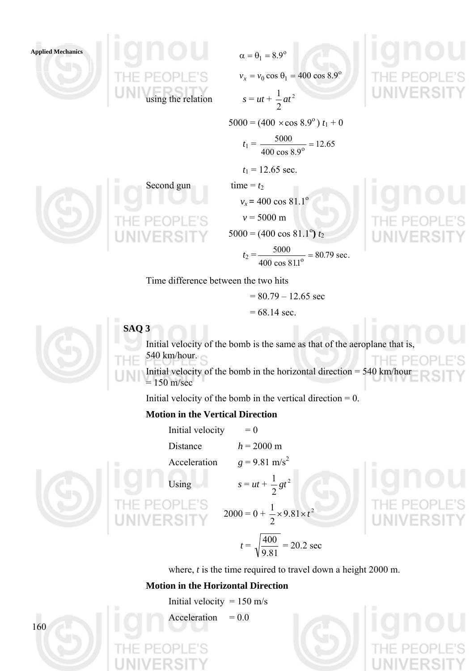

 $v_x = v_0 \cos \theta_1 = 400 \cos 8.9^\circ$ 2  $\frac{1}{a}$ 

 $5000 = (400 \times \cos 8.9^\circ) t_1 + 0$ 

$$
t_1 = \frac{5000}{400 \cos 8.9^\circ} = 12.65
$$

$$
t_1 = 12.65
$$
 sec.

Second gun time =  $t_2$ 

*v<sub>x</sub>* **= 400 cos 81.1<sup>o</sup>** 

 $v = 5000 \text{ m}$ 

 $\sqrt{ }$   $\Box$   $\odot$   $\Box$   $\Box$   $\ddot{}$   $\ddot{}$  5000 = (400 cos 81.1<sup>o</sup>)  $t_2$ 

 $t_2 = \frac{3000}{1000} = 80.79 \text{ sec.}$ 400 cos 81.1  $\frac{5000}{\cos 811^0} =$ 

Time difference between the two hits

$$
= 80.79 - 12.65 \text{ sec}
$$

$$
= 68.14 \text{ sec.}
$$



**SAQ 3** 

Initial velocity of the bomb is the same as that of the aeroplane that is, 540 km/hour. THE.

Initial velocity of the bomb in the horizontal direction = 540 km/hour  $= 150$  m/sec

Initial velocity of the bomb in the vertical direction  $= 0$ .

## **Motion in the Vertical Direction**

Initial velocity  $= 0$ Distance  $h = 2000 \text{ m}$ Acceleration  $g = 9.81 \text{ m/s}^2$ 

Using  $s = ut + \frac{1}{2}gt^2$ 2  $\frac{1}{2}gt^2$ 

 $2000 = 0 + \frac{1}{2} \times 9.81 \times t^2$ 

2  $t =$ 9.81  $\frac{400}{200}$  = 20.2 sec

where, *t* is the time required to travel down a height 2000 m.

 $\frac{1}{2}$  × 9.81 × t

## **Motion in the Horizontal Direction**

Initial velocity =  $150 \text{ m/s}$ 

Acceleration  $= 0.0$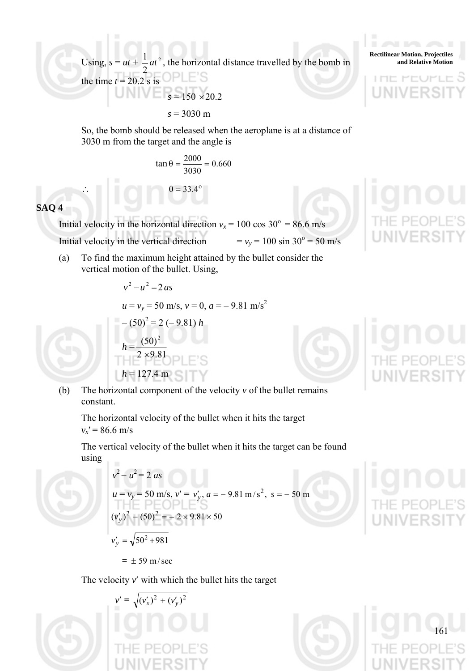Using,  $s = ut + \frac{1}{a}at^2$  $\frac{1}{2}at^2$ , the horizontal distance travelled by the bomb in

2 the time  $t = 20.2$  s is  $s = 150 \times 20.2$ 

∴  $\theta = 33.4^\circ$ 

 *s* = 3030 m

So, the bomb should be released when the aeroplane is at a distance of 3030 m from the target and the angle is

$$
\tan \theta = \frac{2000}{3030} = 0.660
$$

## **SAQ 4**

Initial velocity in the horizontal direction  $v_x = 100 \cos 30^\circ = 86.6 \text{ m/s}$ Initial velocity in the vertical direction  $= v_y = 100 \sin 30^\circ = 50 \text{ m/s}$ 

(a) To find the maximum height attained by the bullet consider the vertical motion of the bullet. Using,

$$
v^{2} - u^{2} = 2as
$$
  
\n
$$
u = v_{y} = 50 \text{ m/s}, v = 0, a = -9.81 \text{ m/s}^{2}
$$
  
\n
$$
-(50)^{2} = 2 (-9.81) h
$$
  
\n
$$
h = \frac{(50)^{2}}{2 \times 9.81} \text{ N.E.S}
$$
  
\n
$$
h = 127.4 \text{ m}
$$

(b) The horizontal component of the velocity  $\nu$  of the bullet remains constant.

The horizontal velocity of the bullet when it hits the target  $v_x' = 86.6$  m/s

The vertical velocity of the bullet when it hits the target can be found using



$$
v^{2} - u^{2} = 2 \text{ as}
$$
  
\n
$$
u = v_{y} = 50 \text{ m/s}, v' = v'_{y}, a = -9.81 \text{ m/s}^{2}, s = -50 \text{ m}
$$
  
\n
$$
(v'_{y})^{2} - (50)^{2} = -2 \times 9.81 \times 50
$$
  
\n
$$
v'_{y} = \sqrt{50^{2} + 981}
$$

 $= \pm 59$  m/sec

The velocity *v*′ with which the bullet hits the target



**Rectilinear Motion, Projectiles and Relative Motion**